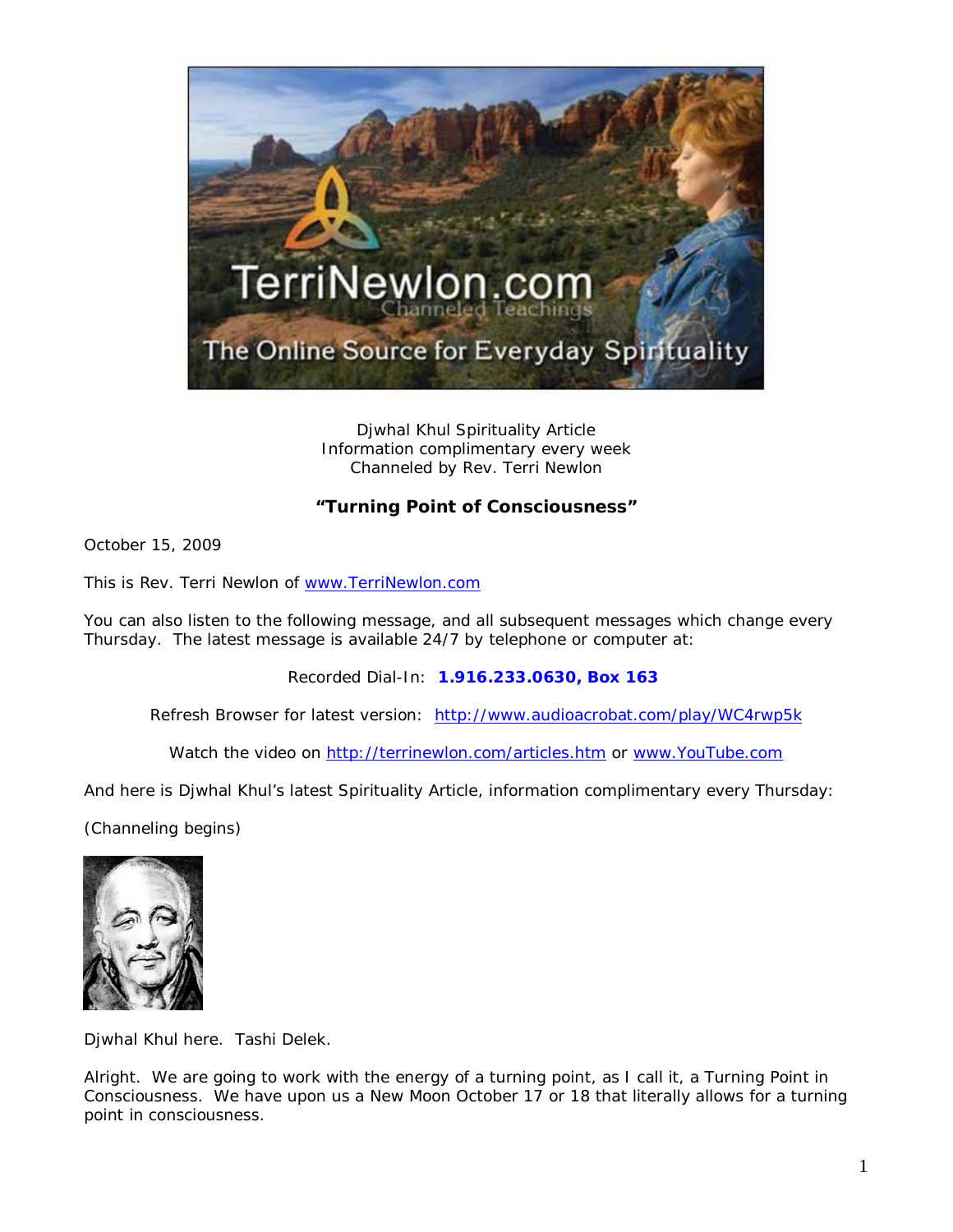

Djwhal Khul Spirituality Article Information complimentary every week Channeled by Rev. Terri Newlon

## **"Turning Point of Consciousness"**

October 15, 2009

This is Rev. Terri Newlon of [www.TerriNewlon.com](http://www.terrinewlon.com/)

You can also listen to the following message, and all subsequent messages which change every Thursday. The latest message is available 24/7 by telephone or computer at:

Recorded Dial-In: **1.916.233.0630, Box 163**

Refresh Browser for latest version: <http://www.audioacrobat.com/play/WC4rwp5k>

Watch the video on<http://terrinewlon.com/articles.htm> or [www.YouTube.com](http://www.youtube.com/)

And here is Djwhal Khul's latest Spirituality Article, information complimentary every Thursday:

(Channeling begins)



Djwhal Khul here. Tashi Delek.

Alright. We are going to work with the energy of a turning point, as I call it, a Turning Point in Consciousness. We have upon us a New Moon October 17 or 18 that literally allows for a turning point in consciousness.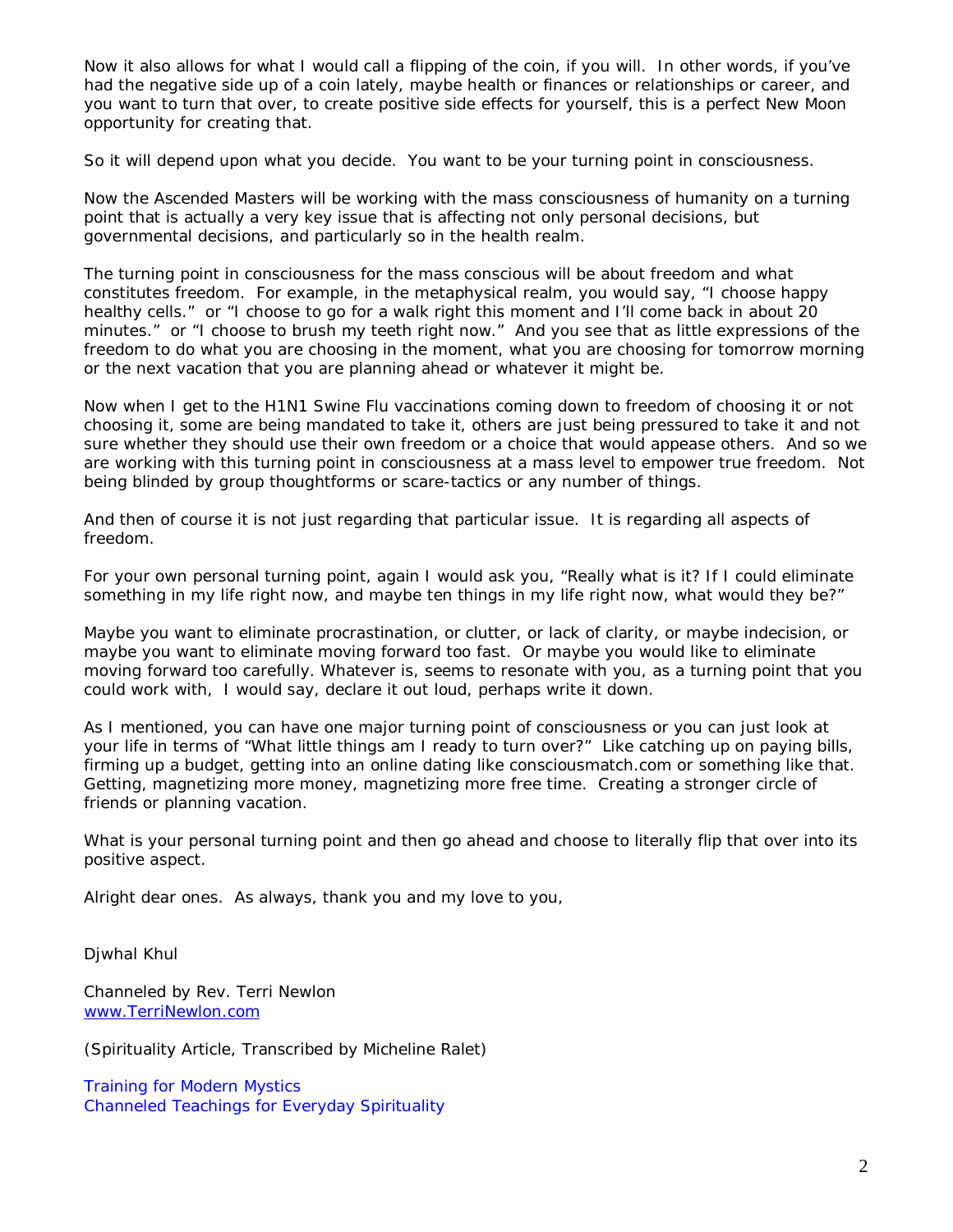Now it also allows for what I would call a flipping of the coin, if you will. In other words, if you've had the negative side up of a coin lately, maybe health or finances or relationships or career, and you want to turn that over, to create positive side effects for yourself, this is a perfect New Moon opportunity for creating that.

So it will depend upon what you decide. You want to be your turning point in consciousness.

Now the Ascended Masters will be working with the mass consciousness of humanity on a turning point that is actually a very key issue that is affecting not only personal decisions, but governmental decisions, and particularly so in the health realm.

The turning point in consciousness for the mass conscious will be about freedom and what constitutes freedom. For example, in the metaphysical realm, you would say, "I choose happy healthy cells." or "I choose to go for a walk right this moment and I'll come back in about 20 minutes." or "I choose to brush my teeth right now." And you see that as little expressions of the freedom to do what you are choosing in the moment, what you are choosing for tomorrow morning or the next vacation that you are planning ahead or whatever it might be.

Now when I get to the H1N1 Swine Flu vaccinations coming down to freedom of choosing it or not choosing it, some are being mandated to take it, others are just being pressured to take it and not sure whether they should use their own freedom or a choice that would appease others. And so we are working with this turning point in consciousness at a mass level to empower true freedom. Not being blinded by group thoughtforms or scare-tactics or any number of things.

And then of course it is not just regarding that particular issue. It is regarding all aspects of freedom.

For your own personal turning point, again I would ask you, "Really what is it? If I could eliminate something in my life right now, and maybe ten things in my life right now, what would they be?"

Maybe you want to eliminate procrastination, or clutter, or lack of clarity, or maybe indecision, or maybe you want to eliminate moving forward too fast. Or maybe you would like to eliminate moving forward too carefully. Whatever is, seems to resonate with you, as a turning point that you could work with, I would say, declare it out loud, perhaps write it down.

As I mentioned, you can have one major turning point of consciousness or you can just look at your life in terms of "What little things am I ready to turn over?" Like catching up on paying bills, firming up a budget, getting into an online dating like consciousmatch.com or something like that. Getting, magnetizing more money, magnetizing more free time. Creating a stronger circle of friends or planning vacation.

What is your personal turning point and then go ahead and choose to literally flip that over into its positive aspect.

Alright dear ones. As always, thank you and my love to you,

Djwhal Khul

Channeled by Rev. Terri Newlon [www.TerriNewlon.com](http://www.terrinewlon.com/)

(Spirituality Article, Transcribed by Micheline Ralet)

Training for Modern Mystics [Channeled Teachings for Everyday Spirituality](http://www.terrinewlon.com/)